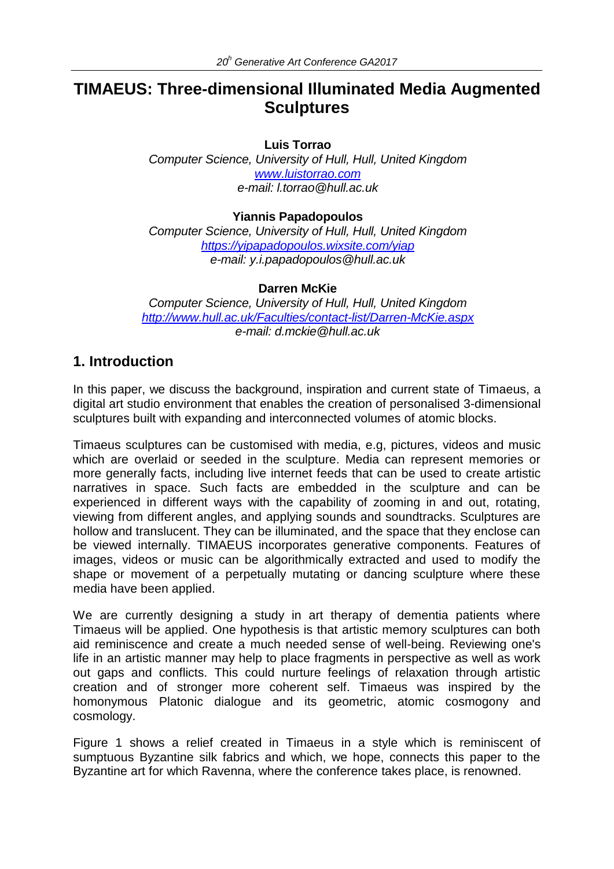# **TIMAEUS: Three-dimensional Illuminated Media Augmented Sculptures**

#### **Luis Torrao**

*Computer Science, University of Hull, Hull, United Kingdom [www.luistorrao.com](http://www.luistorrao.com/) e-mail: l.torrao@hull.ac.uk*

#### **Yiannis Papadopoulos**

*Computer Science, University of Hull, Hull, United Kingdom <https://yipapadopoulos.wixsite.com/yiap> e-mail: y.i.papadopoulos@hull.ac.uk*

#### **Darren McKie**

*Computer Science, University of Hull, Hull, United Kingdom <http://www.hull.ac.uk/Faculties/contact-list/Darren-McKie.aspx> e-mail: d.mckie@hull.ac.uk*

### **1. Introduction**

In this paper, we discuss the background, inspiration and current state of Timaeus, a digital art studio environment that enables the creation of personalised 3-dimensional sculptures built with expanding and interconnected volumes of atomic blocks.

Timaeus sculptures can be customised with media, e.g, pictures, videos and music which are overlaid or seeded in the sculpture. Media can represent memories or more generally facts, including live internet feeds that can be used to create artistic narratives in space. Such facts are embedded in the sculpture and can be experienced in different ways with the capability of zooming in and out, rotating, viewing from different angles, and applying sounds and soundtracks. Sculptures are hollow and translucent. They can be illuminated, and the space that they enclose can be viewed internally. TIMAEUS incorporates generative components. Features of images, videos or music can be algorithmically extracted and used to modify the shape or movement of a perpetually mutating or dancing sculpture where these media have been applied.

We are currently designing a study in art therapy of dementia patients where Timaeus will be applied. One hypothesis is that artistic memory sculptures can both aid reminiscence and create a much needed sense of well-being. Reviewing one's life in an artistic manner may help to place fragments in perspective as well as work out gaps and conflicts. This could nurture feelings of relaxation through artistic creation and of stronger more coherent self. Timaeus was inspired by the homonymous Platonic dialogue and its geometric, atomic cosmogony and cosmology.

Figure 1 shows a relief created in Timaeus in a style which is reminiscent of sumptuous Byzantine silk fabrics and which, we hope, connects this paper to the Byzantine art for which Ravenna, where the conference takes place, is renowned.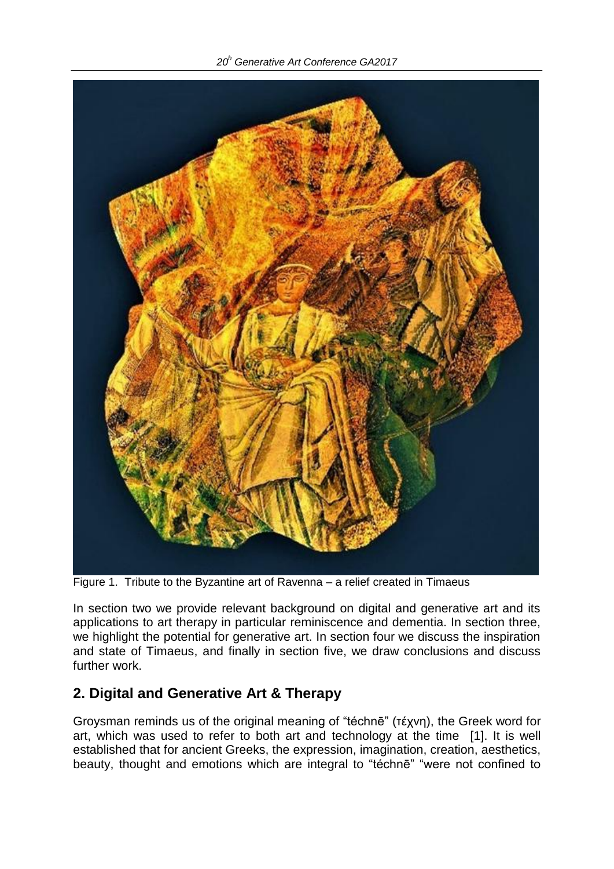*20<sup>h</sup> Generative Art Conference GA2017*



Figure 1. Tribute to the Byzantine art of Ravenna – a relief created in Timaeus

In section two we provide relevant background on digital and generative art and its applications to art therapy in particular reminiscence and dementia. In section three, we highlight the potential for generative art. In section four we discuss the inspiration and state of Timaeus, and finally in section five, we draw conclusions and discuss further work.

## **2. Digital and Generative Art & Therapy**

Groysman reminds us of the original meaning of "téchnē" (τέχνη), the Greek word for art, which was used to refer to both art and technology at the time [1]. It is well established that for ancient Greeks, the expression, imagination, creation, aesthetics, beauty, thought and emotions which are integral to "téchnē" "were not confined to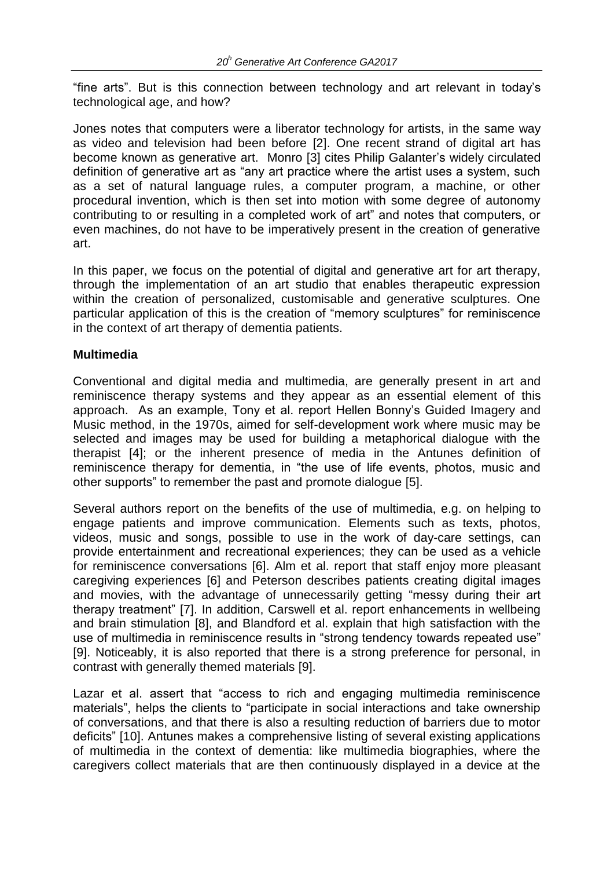"fine arts". But is this connection between technology and art relevant in today's technological age, and how?

Jones notes that computers were a liberator technology for artists, in the same way as video and television had been before [2]. One recent strand of digital art has become known as generative art. Monro [3] cites Philip Galanter's widely circulated definition of generative art as "any art practice where the artist uses a system, such as a set of natural language rules, a computer program, a machine, or other procedural invention, which is then set into motion with some degree of autonomy contributing to or resulting in a completed work of art" and notes that computers, or even machines, do not have to be imperatively present in the creation of generative art.

In this paper, we focus on the potential of digital and generative art for art therapy, through the implementation of an art studio that enables therapeutic expression within the creation of personalized, customisable and generative sculptures. One particular application of this is the creation of "memory sculptures" for reminiscence in the context of art therapy of dementia patients.

#### **Multimedia**

Conventional and digital media and multimedia, are generally present in art and reminiscence therapy systems and they appear as an essential element of this approach. As an example, Tony et al. report Hellen Bonny's Guided Imagery and Music method, in the 1970s, aimed for self-development work where music may be selected and images may be used for building a metaphorical dialogue with the therapist [4]; or the inherent presence of media in the Antunes definition of reminiscence therapy for dementia, in "the use of life events, photos, music and other supports" to remember the past and promote dialogue [5].

Several authors report on the benefits of the use of multimedia, e.g. on helping to engage patients and improve communication. Elements such as texts, photos, videos, music and songs, possible to use in the work of day-care settings, can provide entertainment and recreational experiences; they can be used as a vehicle for reminiscence conversations [6]. Alm et al. report that staff enjoy more pleasant caregiving experiences [6] and Peterson describes patients creating digital images and movies, with the advantage of unnecessarily getting "messy during their art therapy treatment" [7]. In addition, Carswell et al. report enhancements in wellbeing and brain stimulation [8], and Blandford et al. explain that high satisfaction with the use of multimedia in reminiscence results in "strong tendency towards repeated use" [9]. Noticeably, it is also reported that there is a strong preference for personal, in contrast with generally themed materials [9].

Lazar et al. assert that "access to rich and engaging multimedia reminiscence materials", helps the clients to "participate in social interactions and take ownership of conversations, and that there is also a resulting reduction of barriers due to motor deficits" [10]. Antunes makes a comprehensive listing of several existing applications of multimedia in the context of dementia: like multimedia biographies, where the caregivers collect materials that are then continuously displayed in a device at the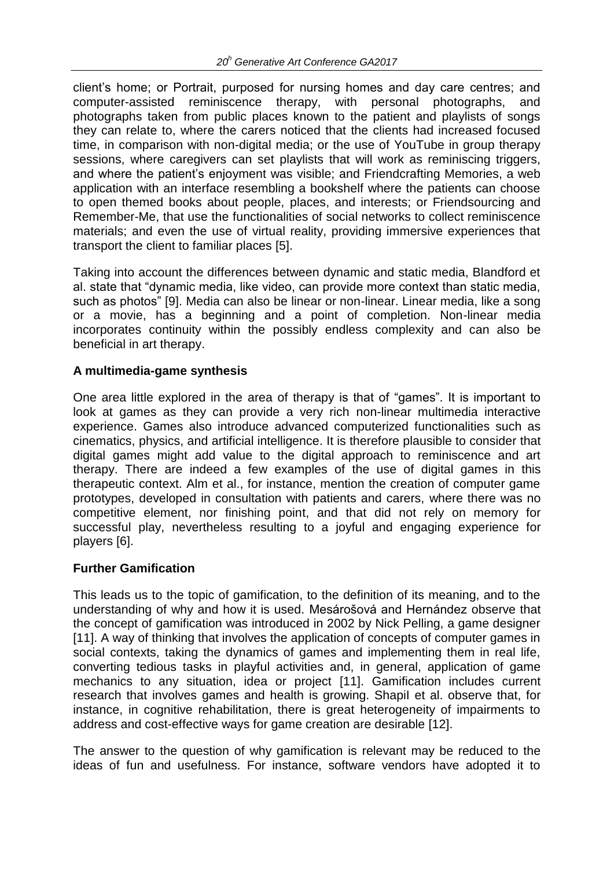client's home; or Portrait, purposed for nursing homes and day care centres; and computer-assisted reminiscence therapy, with personal photographs, and photographs taken from public places known to the patient and playlists of songs they can relate to, where the carers noticed that the clients had increased focused time, in comparison with non-digital media; or the use of YouTube in group therapy sessions, where caregivers can set playlists that will work as reminiscing triggers, and where the patient's enjoyment was visible; and Friendcrafting Memories, a web application with an interface resembling a bookshelf where the patients can choose to open themed books about people, places, and interests; or Friendsourcing and Remember-Me, that use the functionalities of social networks to collect reminiscence materials; and even the use of virtual reality, providing immersive experiences that transport the client to familiar places [5].

Taking into account the differences between dynamic and static media, Blandford et al. state that "dynamic media, like video, can provide more context than static media, such as photos" [9]. Media can also be linear or non-linear. Linear media, like a song or a movie, has a beginning and a point of completion. Non-linear media incorporates continuity within the possibly endless complexity and can also be beneficial in art therapy.

### **A multimedia-game synthesis**

One area little explored in the area of therapy is that of "games". It is important to look at games as they can provide a very rich non-linear multimedia interactive experience. Games also introduce advanced computerized functionalities such as cinematics, physics, and artificial intelligence. It is therefore plausible to consider that digital games might add value to the digital approach to reminiscence and art therapy. There are indeed a few examples of the use of digital games in this therapeutic context. Alm et al., for instance, mention the creation of computer game prototypes, developed in consultation with patients and carers, where there was no competitive element, nor finishing point, and that did not rely on memory for successful play, nevertheless resulting to a joyful and engaging experience for players [6].

### **Further Gamification**

This leads us to the topic of gamification, to the definition of its meaning, and to the understanding of why and how it is used. Mesárošová and Hernández observe that the concept of gamification was introduced in 2002 by Nick Pelling, a game designer [11]. A way of thinking that involves the application of concepts of computer games in social contexts, taking the dynamics of games and implementing them in real life, converting tedious tasks in playful activities and, in general, application of game mechanics to any situation, idea or project [11]. Gamification includes current research that involves games and health is growing. Shapil et al. observe that, for instance, in cognitive rehabilitation, there is great heterogeneity of impairments to address and cost-effective ways for game creation are desirable [12].

The answer to the question of why gamification is relevant may be reduced to the ideas of fun and usefulness. For instance, software vendors have adopted it to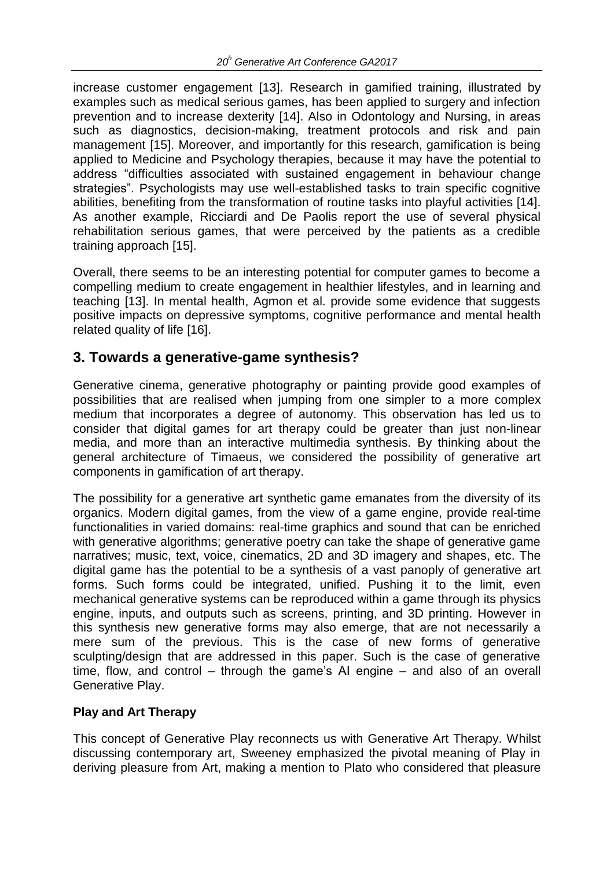increase customer engagement [13]. Research in gamified training, illustrated by examples such as medical serious games, has been applied to surgery and infection prevention and to increase dexterity [14]. Also in Odontology and Nursing, in areas such as diagnostics, decision-making, treatment protocols and risk and pain management [15]. Moreover, and importantly for this research, gamification is being applied to Medicine and Psychology therapies, because it may have the potential to address "difficulties associated with sustained engagement in behaviour change strategies". Psychologists may use well-established tasks to train specific cognitive abilities, benefiting from the transformation of routine tasks into playful activities [14]. As another example, Ricciardi and De Paolis report the use of several physical rehabilitation serious games, that were perceived by the patients as a credible training approach [15].

Overall, there seems to be an interesting potential for computer games to become a compelling medium to create engagement in healthier lifestyles, and in learning and teaching [13]. In mental health, Agmon et al. provide some evidence that suggests positive impacts on depressive symptoms, cognitive performance and mental health related quality of life [16].

## **3. Towards a generative-game synthesis?**

Generative cinema, generative photography or painting provide good examples of possibilities that are realised when jumping from one simpler to a more complex medium that incorporates a degree of autonomy. This observation has led us to consider that digital games for art therapy could be greater than just non-linear media, and more than an interactive multimedia synthesis. By thinking about the general architecture of Timaeus, we considered the possibility of generative art components in gamification of art therapy.

The possibility for a generative art synthetic game emanates from the diversity of its organics. Modern digital games, from the view of a game engine, provide real-time functionalities in varied domains: real-time graphics and sound that can be enriched with generative algorithms; generative poetry can take the shape of generative game narratives; music, text, voice, cinematics, 2D and 3D imagery and shapes, etc. The digital game has the potential to be a synthesis of a vast panoply of generative art forms. Such forms could be integrated, unified. Pushing it to the limit, even mechanical generative systems can be reproduced within a game through its physics engine, inputs, and outputs such as screens, printing, and 3D printing. However in this synthesis new generative forms may also emerge, that are not necessarily a mere sum of the previous. This is the case of new forms of generative sculpting/design that are addressed in this paper. Such is the case of generative time, flow, and control – through the game's AI engine – and also of an overall Generative Play.

### **Play and Art Therapy**

This concept of Generative Play reconnects us with Generative Art Therapy. Whilst discussing contemporary art, Sweeney emphasized the pivotal meaning of Play in deriving pleasure from Art, making a mention to Plato who considered that pleasure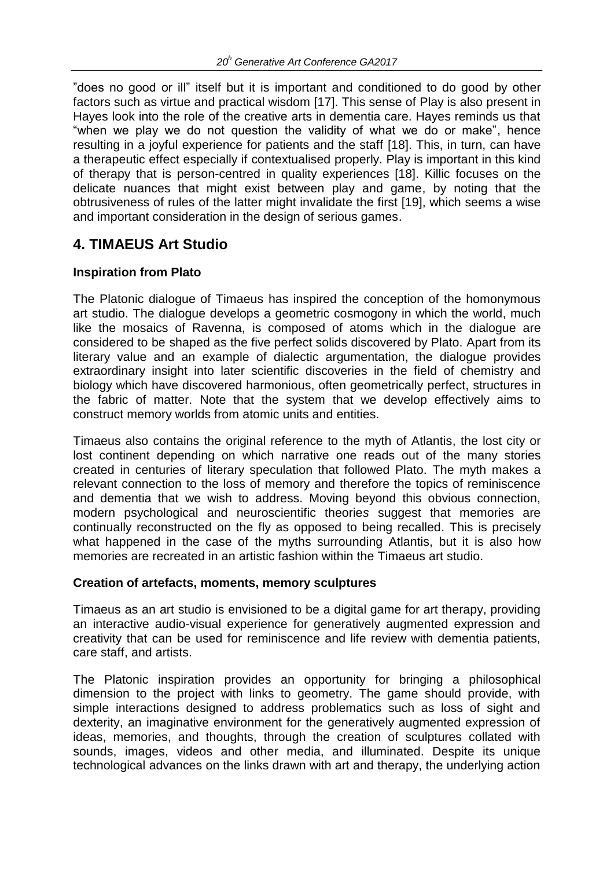"does no good or ill" itself but it is important and conditioned to do good by other factors such as virtue and practical wisdom [17]. This sense of Play is also present in Hayes look into the role of the creative arts in dementia care. Hayes reminds us that "when we play we do not question the validity of what we do or make", hence resulting in a joyful experience for patients and the staff [18]. This, in turn, can have a therapeutic effect especially if contextualised properly. Play is important in this kind of therapy that is person-centred in quality experiences [18]. Killic focuses on the delicate nuances that might exist between play and game, by noting that the obtrusiveness of rules of the latter might invalidate the first [19], which seems a wise and important consideration in the design of serious games.

## **4. TIMAEUS Art Studio**

### **Inspiration from Plato**

The Platonic dialogue of Timaeus has inspired the conception of the homonymous art studio. The dialogue develops a geometric cosmogony in which the world, much like the mosaics of Ravenna, is composed of atoms which in the dialogue are considered to be shaped as the five perfect solids discovered by Plato. Apart from its literary value and an example of dialectic argumentation, the dialogue provides extraordinary insight into later scientific discoveries in the field of chemistry and biology which have discovered harmonious, often geometrically perfect, structures in the fabric of matter. Note that the system that we develop effectively aims to construct memory worlds from atomic units and entities.

Timaeus also contains the original reference to the myth of Atlantis, the lost city or lost continent depending on which narrative one reads out of the many stories created in centuries of literary speculation that followed Plato. The myth makes a relevant connection to the loss of memory and therefore the topics of reminiscence and dementia that we wish to address. Moving beyond this obvious connection, modern psychological and neuroscientific theorie*s* suggest that memories are continually reconstructed on the fly as opposed to being recalled. This is precisely what happened in the case of the myths surrounding Atlantis, but it is also how memories are recreated in an artistic fashion within the Timaeus art studio.

### **Creation of artefacts, moments, memory sculptures**

Timaeus as an art studio is envisioned to be a digital game for art therapy, providing an interactive audio-visual experience for generatively augmented expression and creativity that can be used for reminiscence and life review with dementia patients, care staff, and artists.

The Platonic inspiration provides an opportunity for bringing a philosophical dimension to the project with links to geometry. The game should provide, with simple interactions designed to address problematics such as loss of sight and dexterity, an imaginative environment for the generatively augmented expression of ideas, memories, and thoughts, through the creation of sculptures collated with sounds, images, videos and other media, and illuminated. Despite its unique technological advances on the links drawn with art and therapy, the underlying action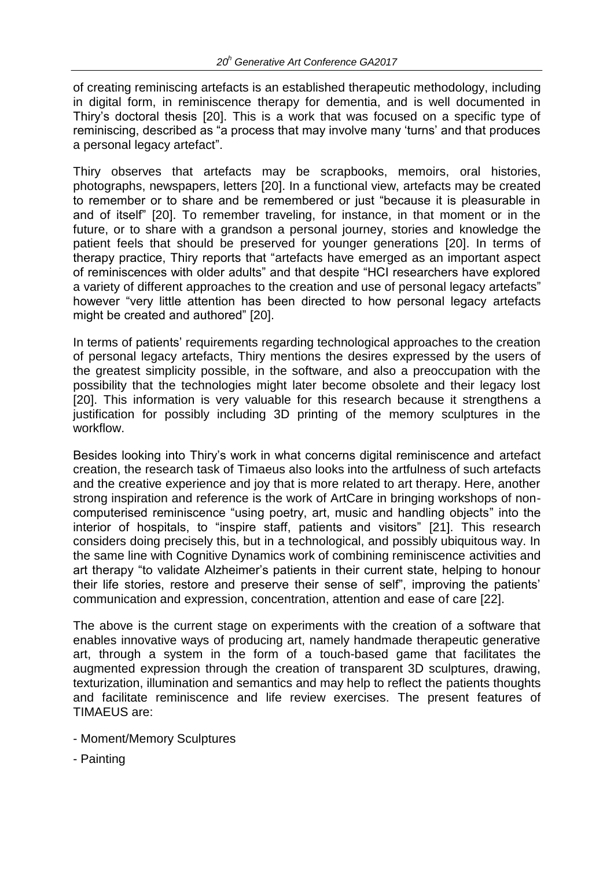of creating reminiscing artefacts is an established therapeutic methodology, including in digital form, in reminiscence therapy for dementia, and is well documented in Thiry's doctoral thesis [20]. This is a work that was focused on a specific type of reminiscing, described as "a process that may involve many 'turns' and that produces a personal legacy artefact".

Thiry observes that artefacts may be scrapbooks, memoirs, oral histories, photographs, newspapers, letters [20]. In a functional view, artefacts may be created to remember or to share and be remembered or just "because it is pleasurable in and of itself" [20]. To remember traveling, for instance, in that moment or in the future, or to share with a grandson a personal journey, stories and knowledge the patient feels that should be preserved for younger generations [20]. In terms of therapy practice, Thiry reports that "artefacts have emerged as an important aspect of reminiscences with older adults" and that despite "HCI researchers have explored a variety of different approaches to the creation and use of personal legacy artefacts" however "very little attention has been directed to how personal legacy artefacts might be created and authored" [20].

In terms of patients' requirements regarding technological approaches to the creation of personal legacy artefacts, Thiry mentions the desires expressed by the users of the greatest simplicity possible, in the software, and also a preoccupation with the possibility that the technologies might later become obsolete and their legacy lost [20]. This information is very valuable for this research because it strengthens a justification for possibly including 3D printing of the memory sculptures in the workflow.

Besides looking into Thiry's work in what concerns digital reminiscence and artefact creation, the research task of Timaeus also looks into the artfulness of such artefacts and the creative experience and joy that is more related to art therapy. Here, another strong inspiration and reference is the work of ArtCare in bringing workshops of noncomputerised reminiscence "using poetry, art, music and handling objects" into the interior of hospitals, to "inspire staff, patients and visitors" [21]. This research considers doing precisely this, but in a technological, and possibly ubiquitous way. In the same line with Cognitive Dynamics work of combining reminiscence activities and art therapy "to validate Alzheimer's patients in their current state, helping to honour their life stories, restore and preserve their sense of self", improving the patients' communication and expression, concentration, attention and ease of care [22].

The above is the current stage on experiments with the creation of a software that enables innovative ways of producing art, namely handmade therapeutic generative art, through a system in the form of a touch-based game that facilitates the augmented expression through the creation of transparent 3D sculptures, drawing, texturization, illumination and semantics and may help to reflect the patients thoughts and facilitate reminiscence and life review exercises. The present features of TIMAEUS are:

- Moment/Memory Sculptures
- Painting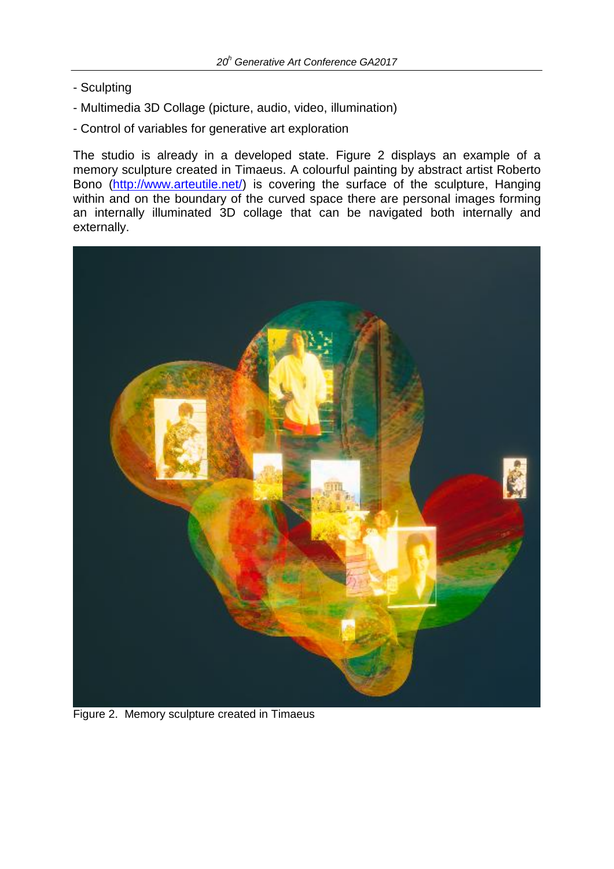- Sculpting
- Multimedia 3D Collage (picture, audio, video, illumination)
- Control of variables for generative art exploration

The studio is already in a developed state. Figure 2 displays an example of a memory sculpture created in Timaeus. A colourful painting by abstract artist Roberto Bono [\(http://www.arteutile.net/\)](http://www.arteutile.net/) is covering the surface of the sculpture, Hanging within and on the boundary of the curved space there are personal images forming an internally illuminated 3D collage that can be navigated both internally and externally.



Figure 2. Memory sculpture created in Timaeus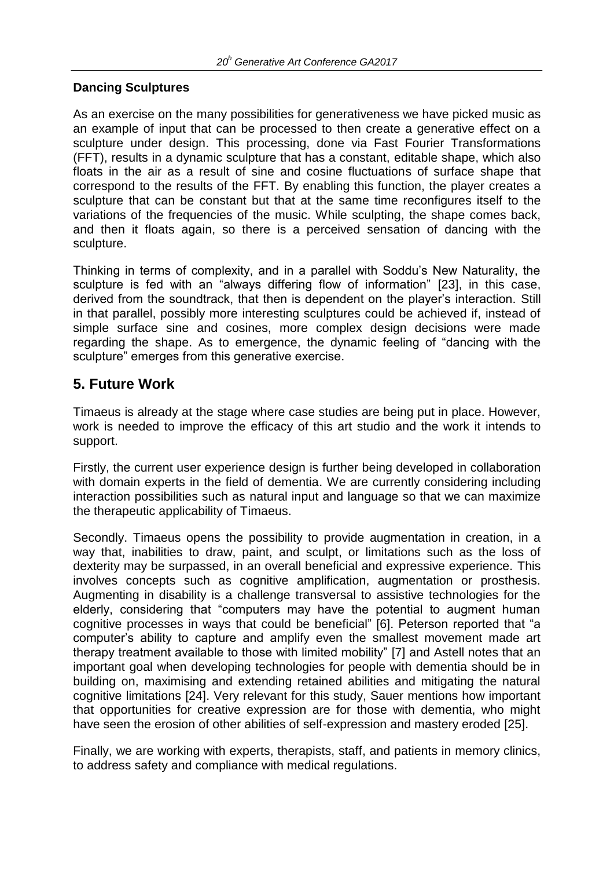### **Dancing Sculptures**

As an exercise on the many possibilities for generativeness we have picked music as an example of input that can be processed to then create a generative effect on a sculpture under design. This processing, done via Fast Fourier Transformations (FFT), results in a dynamic sculpture that has a constant, editable shape, which also floats in the air as a result of sine and cosine fluctuations of surface shape that correspond to the results of the FFT. By enabling this function, the player creates a sculpture that can be constant but that at the same time reconfigures itself to the variations of the frequencies of the music. While sculpting, the shape comes back, and then it floats again, so there is a perceived sensation of dancing with the sculpture.

Thinking in terms of complexity, and in a parallel with Soddu's New Naturality, the sculpture is fed with an "always differing flow of information" [23], in this case, derived from the soundtrack, that then is dependent on the player's interaction. Still in that parallel, possibly more interesting sculptures could be achieved if, instead of simple surface sine and cosines, more complex design decisions were made regarding the shape. As to emergence, the dynamic feeling of "dancing with the sculpture" emerges from this generative exercise.

# **5. Future Work**

Timaeus is already at the stage where case studies are being put in place. However, work is needed to improve the efficacy of this art studio and the work it intends to support.

Firstly, the current user experience design is further being developed in collaboration with domain experts in the field of dementia. We are currently considering including interaction possibilities such as natural input and language so that we can maximize the therapeutic applicability of Timaeus.

Secondly. Timaeus opens the possibility to provide augmentation in creation, in a way that, inabilities to draw, paint, and sculpt, or limitations such as the loss of dexterity may be surpassed, in an overall beneficial and expressive experience. This involves concepts such as cognitive amplification, augmentation or prosthesis. Augmenting in disability is a challenge transversal to assistive technologies for the elderly, considering that "computers may have the potential to augment human cognitive processes in ways that could be beneficial" [6]. Peterson reported that "a computer's ability to capture and amplify even the smallest movement made art therapy treatment available to those with limited mobility" [7] and Astell notes that an important goal when developing technologies for people with dementia should be in building on, maximising and extending retained abilities and mitigating the natural cognitive limitations [24]. Very relevant for this study, Sauer mentions how important that opportunities for creative expression are for those with dementia, who might have seen the erosion of other abilities of self-expression and mastery eroded [25].

Finally, we are working with experts, therapists, staff, and patients in memory clinics, to address safety and compliance with medical regulations.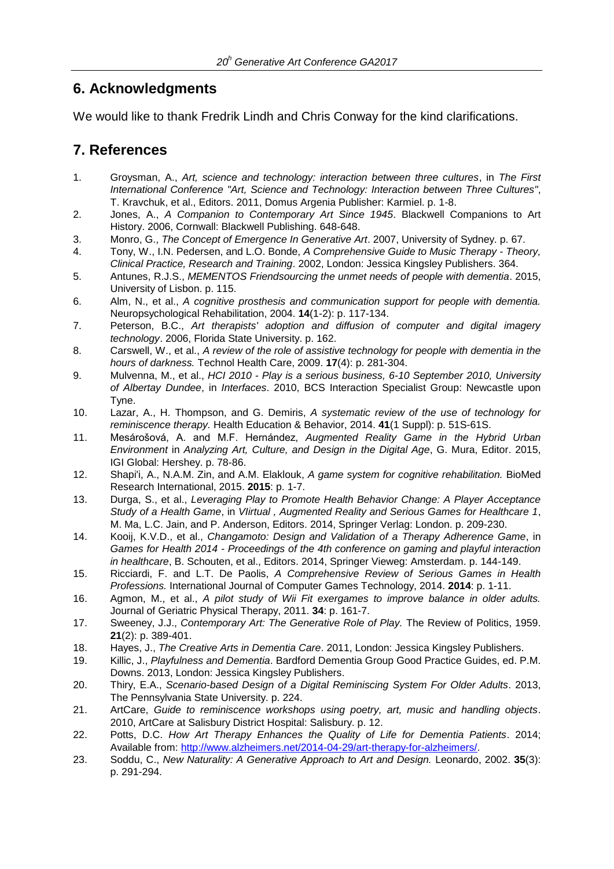# **6. Acknowledgments**

We would like to thank Fredrik Lindh and Chris Conway for the kind clarifications.

## **7. References**

- 1. Groysman, A., *Art, science and technology: interaction between three cultures*, in *The First International Conference "Art, Science and Technology: Interaction between Three Cultures"*, T. Kravchuk, et al., Editors. 2011, Domus Argenia Publisher: Karmiel. p. 1-8.
- 2. Jones, A., *A Companion to Contemporary Art Since 1945*. Blackwell Companions to Art History. 2006, Cornwall: Blackwell Publishing. 648-648.
- 3. Monro, G., *The Concept of Emergence In Generative Art*. 2007, University of Sydney. p. 67.
- 4. Tony, W., I.N. Pedersen, and L.O. Bonde, *A Comprehensive Guide to Music Therapy - Theory, Clinical Practice, Research and Training*. 2002, London: Jessica Kingsley Publishers. 364.
- 5. Antunes, R.J.S., *MEMENTOS Friendsourcing the unmet needs of people with dementia*. 2015, University of Lisbon. p. 115.
- 6. Alm, N., et al., *A cognitive prosthesis and communication support for people with dementia.* Neuropsychological Rehabilitation, 2004. **14**(1-2): p. 117-134.
- 7. Peterson, B.C., *Art therapists' adoption and diffusion of computer and digital imagery technology*. 2006, Florida State University. p. 162.
- 8. Carswell, W., et al., *A review of the role of assistive technology for people with dementia in the hours of darkness.* Technol Health Care, 2009. **17**(4): p. 281-304.
- 9. Mulvenna, M., et al., *HCI 2010 - Play is a serious business, 6-10 September 2010, University of Albertay Dundee*, in *Interfaces*. 2010, BCS Interaction Specialist Group: Newcastle upon Tyne.
- 10. Lazar, A., H. Thompson, and G. Demiris, *A systematic review of the use of technology for reminiscence therapy.* Health Education & Behavior, 2014. **41**(1 Suppl): p. 51S-61S.
- 11. Mesárošová, A. and M.F. Hernández, *Augmented Reality Game in the Hybrid Urban Environment* in *Analyzing Art, Culture, and Design in the Digital Age*, G. Mura, Editor. 2015, IGI Global: Hershey. p. 78-86.
- 12. Shapi'i, A., N.A.M. Zin, and A.M. Elaklouk, *A game system for cognitive rehabilitation.* BioMed Research International, 2015. **2015**: p. 1-7.
- 13. Durga, S., et al., *Leveraging Play to Promote Health Behavior Change: A Player Acceptance Study of a Health Game*, in *VIirtual , Augmented Reality and Serious Games for Healthcare 1*, M. Ma, L.C. Jain, and P. Anderson, Editors. 2014, Springer Verlag: London. p. 209-230.
- 14. Kooij, K.V.D., et al., *Changamoto: Design and Validation of a Therapy Adherence Game*, in *Games for Health 2014 - Proceedings of the 4th conference on gaming and playful interaction in healthcare*, B. Schouten, et al., Editors. 2014, Springer Vieweg: Amsterdam. p. 144-149.
- 15. Ricciardi, F. and L.T. De Paolis, *A Comprehensive Review of Serious Games in Health Professions.* International Journal of Computer Games Technology, 2014. **2014**: p. 1-11.
- 16. Agmon, M., et al., *A pilot study of Wii Fit exergames to improve balance in older adults.* Journal of Geriatric Physical Therapy, 2011. **34**: p. 161-7.
- 17. Sweeney, J.J., *Contemporary Art: The Generative Role of Play.* The Review of Politics, 1959. **21**(2): p. 389-401.
- 18. Hayes, J., *The Creative Arts in Dementia Care*. 2011, London: Jessica Kingsley Publishers.
- 19. Killic, J., *Playfulness and Dementia*. Bardford Dementia Group Good Practice Guides, ed. P.M. Downs. 2013, London: Jessica Kingsley Publishers.
- 20. Thiry, E.A., *Scenario-based Design of a Digital Reminiscing System For Older Adults*. 2013, The Pennsylvania State University. p. 224.
- 21. ArtCare, *Guide to reminiscence workshops using poetry, art, music and handling objects*. 2010, ArtCare at Salisbury District Hospital: Salisbury. p. 12.
- 22. Potts, D.C. *How Art Therapy Enhances the Quality of Life for Dementia Patients*. 2014; Available from: [http://www.alzheimers.net/2014-04-29/art-therapy-for-alzheimers/.](http://www.alzheimers.net/2014-04-29/art-therapy-for-alzheimers/)
- 23. Soddu, C., *New Naturality: A Generative Approach to Art and Design.* Leonardo, 2002. **35**(3): p. 291-294.